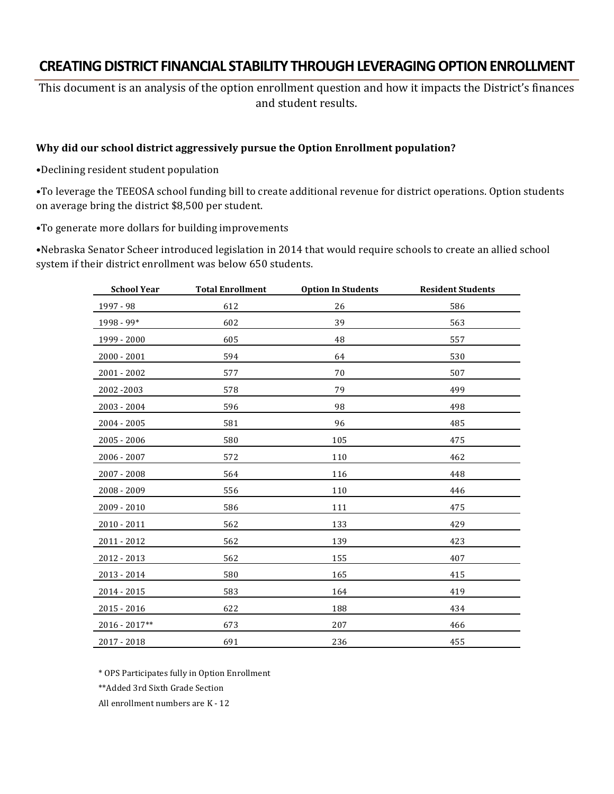# **CREATING DISTRICT FINANCIAL STABILITY THROUGH LEVERAGING OPTION ENROLLMENT**

This document is an analysis of the option enrollment question and how it impacts the District's finances and student results.

#### Why did our school district aggressively pursue the Option Enrollment population?

•Declining resident student population

•To leverage the TEEOSA school funding bill to create additional revenue for district operations. Option students on average bring the district \$8,500 per student.

•To generate more dollars for building improvements

•Nebraska Senator Scheer introduced legislation in 2014 that would require schools to create an allied school system if their district enrollment was below 650 students.

| <b>School Year</b> | <b>Total Enrollment</b> | <b>Option In Students</b> | <b>Resident Students</b> |
|--------------------|-------------------------|---------------------------|--------------------------|
| 1997 - 98          | 612                     | 26                        | 586                      |
| 1998 - 99*         | 602                     | 39                        | 563                      |
| 1999 - 2000        | 605                     | 48                        | 557                      |
| $2000 - 2001$      | 594                     | 64                        | 530                      |
| 2001 - 2002        | 577                     | 70                        | 507                      |
| 2002-2003          | 578                     | 79                        | 499                      |
| 2003 - 2004        | 596                     | 98                        | 498                      |
| 2004 - 2005        | 581                     | 96                        | 485                      |
| 2005 - 2006        | 580                     | 105                       | 475                      |
| 2006 - 2007        | 572                     | 110                       | 462                      |
| 2007 - 2008        | 564                     | 116                       | 448                      |
| 2008 - 2009        | 556                     | 110                       | 446                      |
| $2009 - 2010$      | 586                     | 111                       | 475                      |
| $2010 - 2011$      | 562                     | 133                       | 429                      |
| 2011 - 2012        | 562                     | 139                       | 423                      |
| 2012 - 2013        | 562                     | 155                       | 407                      |
| 2013 - 2014        | 580                     | 165                       | 415                      |
| 2014 - 2015        | 583                     | 164                       | 419                      |
| 2015 - 2016        | 622                     | 188                       | 434                      |
| $2016 - 2017**$    | 673                     | 207                       | 466                      |
| 2017 - 2018        | 691                     | 236                       | 455                      |

\* OPS Participates fully in Option Enrollment

\*\*Added 3rd Sixth Grade Section

All enrollment numbers are K - 12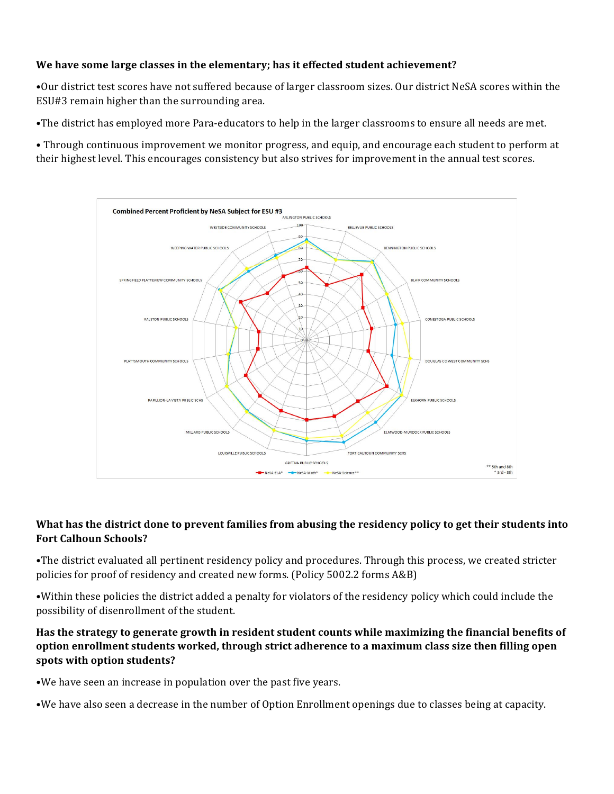## We have some large classes in the elementary; has it effected student achievement?

•Our district test scores have not suffered because of larger classroom sizes. Our district NeSA scores within the ESU#3 remain higher than the surrounding area.

•The district has employed more Para-educators to help in the larger classrooms to ensure all needs are met.

• Through continuous improvement we monitor progress, and equip, and encourage each student to perform at their highest level. This encourages consistency but also strives for improvement in the annual test scores.



## What has the district done to prevent families from abusing the residency policy to get their students into **Fort Calhoun Schools?**

•The district evaluated all pertinent residency policy and procedures. Through this process, we created stricter policies for proof of residency and created new forms. (Policy 5002.2 forms A&B)

•Within these policies the district added a penalty for violators of the residency policy which could include the possibility of disenrollment of the student.

## Has the strategy to generate growth in resident student counts while maximizing the financial benefits of **option enrollment students worked, through strict adherence to a maximum class size then filling open** spots with option students?

•We have seen an increase in population over the past five years.

•We have also seen a decrease in the number of Option Enrollment openings due to classes being at capacity.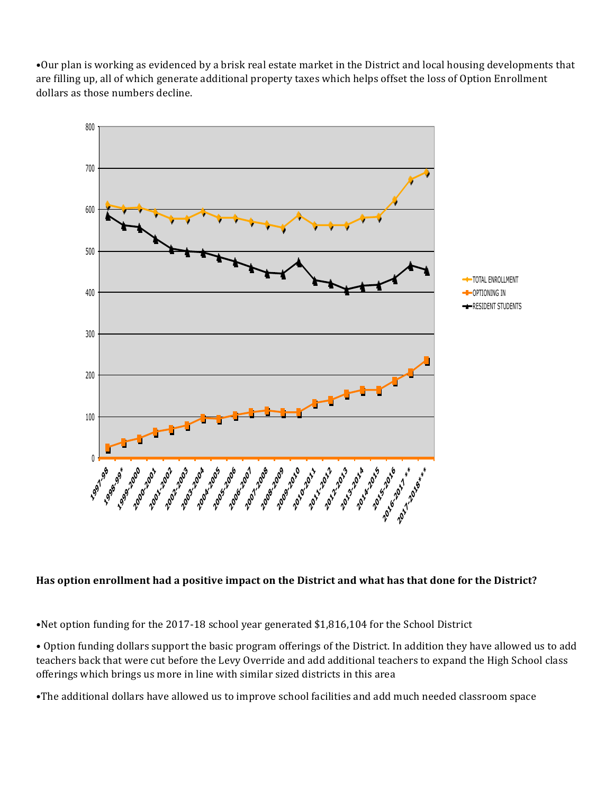•Our plan is working as evidenced by a brisk real estate market in the District and local housing developments that are filling up, all of which generate additional property taxes which helps offset the loss of Option Enrollment dollars as those numbers decline.



## Has option enrollment had a positive impact on the District and what has that done for the District?

•Net option funding for the 2017-18 school year generated \$1,816,104 for the School District

• Option funding dollars support the basic program offerings of the District. In addition they have allowed us to add teachers back that were cut before the Levy Override and add additional teachers to expand the High School class offerings which brings us more in line with similar sized districts in this area

•The additional dollars have allowed us to improve school facilities and add much needed classroom space